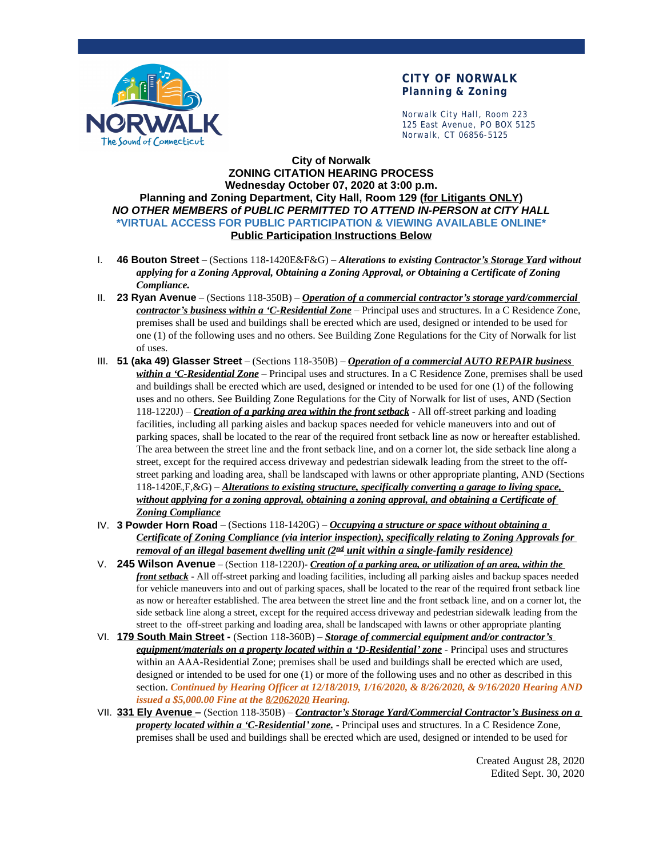

### **CITY OF NORWALK Planning & Zoning**

Norwalk City Hall, Room 223 125 East Avenue, PO BOX 5125 Norwalk, CT 06856-5125

#### **City of Norwalk ZONING CITATION HEARING PROCESS Wednesday October 07, 2020 at 3:00 p.m. Planning and Zoning Department, City Hall, Room 129 (for Litigants ONLY)** *NO OTHER MEMBERS of PUBLIC PERMITTED TO ATTEND IN-PERSON at CITY HALL* **\*VIRTUAL ACCESS FOR PUBLIC PARTICIPATION & VIEWING AVAILABLE ONLINE\* Public Participation Instructions Below**

- I. **46 Bouton Street** (Sections 118-1420E&F&G) *Alterations to existing Contractor's Storage Yard without applying for a Zoning Approval, Obtaining a Zoning Approval, or Obtaining a Certificate of Zoning Compliance.*
- II. **23 Ryan Avenue** (Sections 118-350B) *Operation of a commercial contractor's storage yard/commercial contractor's business within a 'C-Residential Zone* – Principal uses and structures. In a C Residence Zone, premises shall be used and buildings shall be erected which are used, designed or intended to be used for one (1) of the following uses and no others. See Building Zone Regulations for the City of Norwalk for list of uses.
- III. **51 (aka 49) Glasser Street** (Sections 118-350B) *Operation of a commercial AUTO REPAIR business within a 'C-Residential Zone* – Principal uses and structures. In a C Residence Zone, premises shall be used and buildings shall be erected which are used, designed or intended to be used for one (1) of the following uses and no others. See Building Zone Regulations for the City of Norwalk for list of uses, AND (Section 118-1220J) – *Creation of a parking area within the front setback* - All off-street parking and loading facilities, including all parking aisles and backup spaces needed for vehicle maneuvers into and out of parking spaces, shall be located to the rear of the required front setback line as now or hereafter established. The area between the street line and the front setback line, and on a corner lot, the side setback line along a street, except for the required access driveway and pedestrian sidewalk leading from the street to the offstreet parking and loading area, shall be landscaped with lawns or other appropriate planting, AND (Sections 118-1420E,F,&G) – *Alterations to existing structure, specifically converting a garage to living space, without applying for a zoning approval, obtaining a zoning approval, and obtaining a Certificate of Zoning Compliance*
- IV. **3 Powder Horn Road** (Sections 118-1420G) *Occupying a structure or space without obtaining a Certificate of Zoning Compliance (via interior inspection), specifically relating to Zoning Approvals for removal of an illegal basement dwelling unit (2 nd unit within a single-family residence)*
- V. **245 Wilson Avenue** (Section 118-1220J)- *Creation of a parking area, or utilization of an area, within the front setback* - All off-street parking and loading facilities, including all parking aisles and backup spaces needed for vehicle maneuvers into and out of parking spaces, shall be located to the rear of the required front setback line as now or hereafter established. The area between the street line and the front setback line, and on a corner lot, the side setback line along a street, except for the required access driveway and pedestrian sidewalk leading from the street to the off-street parking and loading area, shall be landscaped with lawns or other appropriate planting
- VI. **179 South Main Street** (Section 118-360B) *Storage of commercial equipment and/or contractor's equipment/materials on a property located within a 'D-Residential' zone* - Principal uses and structures within an AAA-Residential Zone; premises shall be used and buildings shall be erected which are used, designed or intended to be used for one (1) or more of the following uses and no other as described in this section. *Continued by Hearing Officer at 12/18/2019, 1/16/2020, & 8/26/2020, & 9/16/2020 Hearing AND issued a \$5,000.00 Fine at the 8/2062020 Hearing.*
- VII. **331 Ely Avenue –** (Section 118-350B) *Contractor's Storage Yard/Commercial Contractor's Business on a property located within a 'C-Residential' zone.* - Principal uses and structures. In a C Residence Zone, premises shall be used and buildings shall be erected which are used, designed or intended to be used for

Created August 28, 2020 Edited Sept. 30, 2020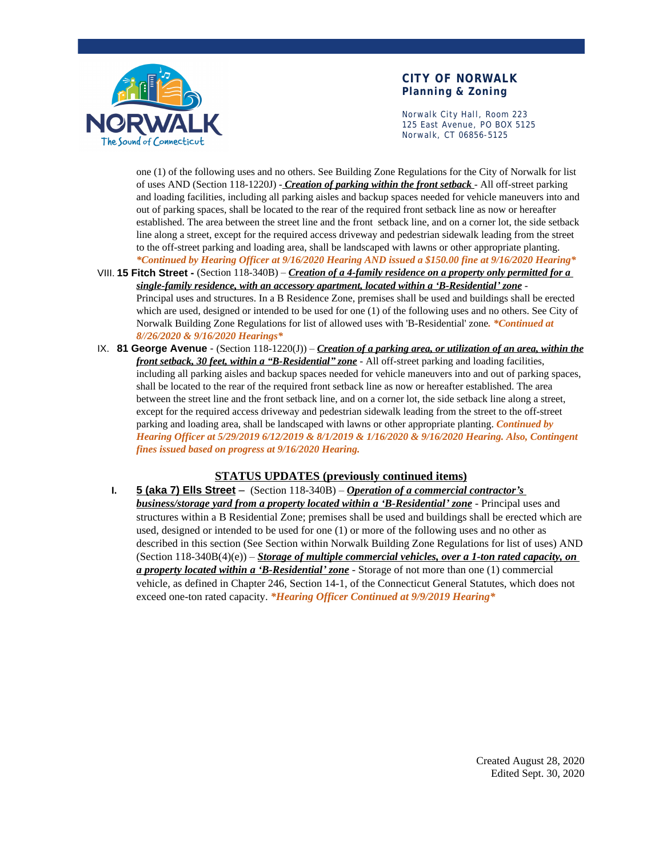

### **CITY OF NORWALK Planning & Zoning**

Norwalk City Hall, Room 223 125 East Avenue, PO BOX 5125 Norwalk, CT 06856-5125

one (1) of the following uses and no others. See Building Zone Regulations for the City of Norwalk for list of uses AND (Section 118-1220J) - *Creation of parking within the front setback* - All off-street parking and loading facilities, including all parking aisles and backup spaces needed for vehicle maneuvers into and out of parking spaces, shall be located to the rear of the required front setback line as now or hereafter established. The area between the street line and the front setback line, and on a corner lot, the side setback line along a street, except for the required access driveway and pedestrian sidewalk leading from the street to the off-street parking and loading area, shall be landscaped with lawns or other appropriate planting. *\*Continued by Hearing Officer at 9/16/2020 Hearing AND issued a \$150.00 fine at 9/16/2020 Hearing\**

- VIII. **15 Fitch Street** (Section 118-340B) *Creation of a 4-family residence on a property only permitted for a single-family residence, with an accessory apartment, located within a 'B-Residential' zone* - Principal uses and structures. In a B Residence Zone, premises shall be used and buildings shall be erected which are used, designed or intended to be used for one (1) of the following uses and no others. See City of Norwalk Building Zone Regulations for list of allowed uses with 'B-Residential' zone*. \*Continued at 8//26/2020 & 9/16/2020 Hearings\**
- IX. **81 George Avenue**  (Section 118-1220(J)) *Creation of a parking area, or utilization of an area, within the front setback, 30 feet, within a "B-Residential" zone* - All off-street parking and loading facilities, including all parking aisles and backup spaces needed for vehicle maneuvers into and out of parking spaces, shall be located to the rear of the required front setback line as now or hereafter established. The area between the street line and the front setback line, and on a corner lot, the side setback line along a street, except for the required access driveway and pedestrian sidewalk leading from the street to the off-street parking and loading area, shall be landscaped with lawns or other appropriate planting. *Continued by Hearing Officer at 5/29/2019 6/12/2019 & 8/1/2019 & 1/16/2020 & 9/16/2020 Hearing. Also, Contingent fines issued based on progress at 9/16/2020 Hearing.*

#### **STATUS UPDATES (previously continued items)**

**I. 5 (aka 7) Ells Street** – (Section 118-340B) – *Operation of a commercial contractor's business/storage yard from a property located within a 'B-Residential' zone* - Principal uses and structures within a B Residential Zone; premises shall be used and buildings shall be erected which are used, designed or intended to be used for one (1) or more of the following uses and no other as described in this section (See Section within Norwalk Building Zone Regulations for list of uses) AND  $(Section 118-340B(4)(e)) - *Storage of multiple commercial vehicles, over a 1-ton rated capacity, on*$ *a property located within a 'B-Residential' zone* - Storage of not more than one (1) commercial vehicle, as defined in Chapter 246, Section 14-1, of the Connecticut General Statutes, which does not exceed one-ton rated capacity. *\*Hearing Officer Continued at 9/9/2019 Hearing\**